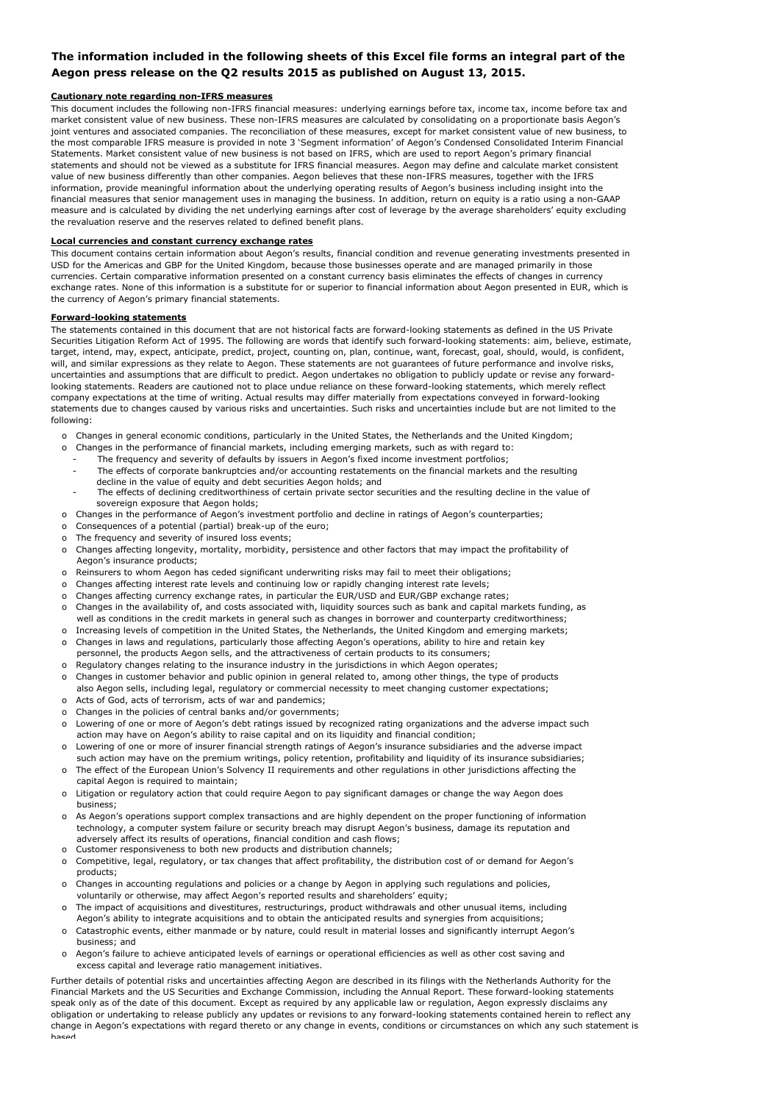### **The information included in the following sheets of this Excel file forms an integral part of the Aegon press release on the Q2 results 2015 as published on August 13, 2015.**

#### **Cautionary note regarding non-IFRS measures**

This document includes the following non-IFRS financial measures: underlying earnings before tax, income tax, income before tax and market consistent value of new business. These non-IFRS measures are calculated by consolidating on a proportionate basis Aegon's joint ventures and associated companies. The reconciliation of these measures, except for market consistent value of new business, to the most comparable IFRS measure is provided in note 3 'Segment information' of Aegon's Condensed Consolidated Interim Financial Statements. Market consistent value of new business is not based on IFRS, which are used to report Aegon's primary financial statements and should not be viewed as a substitute for IFRS financial measures. Aegon may define and calculate market consistent value of new business differently than other companies. Aegon believes that these non-IFRS measures, together with the IFRS information, provide meaningful information about the underlying operating results of Aegon's business including insight into the financial measures that senior management uses in managing the business. In addition, return on equity is a ratio using a non-GAAP measure and is calculated by dividing the net underlying earnings after cost of leverage by the average shareholders' equity excluding the revaluation reserve and the reserves related to defined benefit plans.

#### **Local currencies and constant currency exchange rates**

This document contains certain information about Aegon's results, financial condition and revenue generating investments presented in USD for the Americas and GBP for the United Kingdom, because those businesses operate and are managed primarily in those currencies. Certain comparative information presented on a constant currency basis eliminates the effects of changes in currency exchange rates. None of this information is a substitute for or superior to financial information about Aegon presented in EUR, which is the currency of Aegon's primary financial statements.

#### **Forward-looking statements**

The statements contained in this document that are not historical facts are forward-looking statements as defined in the US Private Securities Litigation Reform Act of 1995. The following are words that identify such forward-looking statements: aim, believe, estimate, target, intend, may, expect, anticipate, predict, project, counting on, plan, continue, want, forecast, goal, should, would, is confident, will, and similar expressions as they relate to Aegon. These statements are not guarantees of future performance and involve risks, uncertainties and assumptions that are difficult to predict. Aegon undertakes no obligation to publicly update or revise any forwardlooking statements. Readers are cautioned not to place undue reliance on these forward-looking statements, which merely reflect company expectations at the time of writing. Actual results may differ materially from expectations conveyed in forward-looking statements due to changes caused by various risks and uncertainties. Such risks and uncertainties include but are not limited to the following:

- o Changes in general economic conditions, particularly in the United States, the Netherlands and the United Kingdom;
- o Changes in the performance of financial markets, including emerging markets, such as with regard to:
	- The frequency and severity of defaults by issuers in Aegon's fixed income investment portfolios;
	- The effects of corporate bankruptcies and/or accounting restatements on the financial markets and the resulting decline in the value of equity and debt securities Aegon holds; and
	- The effects of declining creditworthiness of certain private sector securities and the resulting decline in the value of sovereign exposure that Aegon holds;
- o Changes in the performance of Aegon's investment portfolio and decline in ratings of Aegon's counterparties;
- o Consequences of a potential (partial) break-up of the euro;
- o The frequency and severity of insured loss events;
- o Changes affecting longevity, mortality, morbidity, persistence and other factors that may impact the profitability of Aegon's insurance products;
- o Reinsurers to whom Aegon has ceded significant underwriting risks may fail to meet their obligations;
- o Changes affecting interest rate levels and continuing low or rapidly changing interest rate levels;
- o Changes affecting currency exchange rates, in particular the EUR/USD and EUR/GBP exchange rates;
- o Changes in the availability of, and costs associated with, liquidity sources such as bank and capital markets funding, as well as conditions in the credit markets in general such as changes in borrower and counterparty creditworthiness;
- o Increasing levels of competition in the United States, the Netherlands, the United Kingdom and emerging markets; Changes in laws and regulations, particularly those affecting Aegon's operations, ability to hire and retain key
- o Regulatory changes relating to the insurance industry in the jurisdictions in which Aegon operates; personnel, the products Aegon sells, and the attractiveness of certain products to its consumers;
- o Changes in customer behavior and public opinion in general related to, among other things, the type of products
- o Acts of God, acts of terrorism, acts of war and pandemics; also Aegon sells, including legal, regulatory or commercial necessity to meet changing customer expectations;
- o Changes in the policies of central banks and/or governments;
- o Lowering of one or more of Aegon's debt ratings issued by recognized rating organizations and the adverse impact such action may have on Aegon's ability to raise capital and on its liquidity and financial condition;
- o Lowering of one or more of insurer financial strength ratings of Aegon's insurance subsidiaries and the adverse impact such action may have on the premium writings, policy retention, profitability and liquidity of its insurance subsidiaries;
- o The effect of the European Union's Solvency II requirements and other regulations in other jurisdictions affecting the capital Aegon is required to maintain;
- o Litigation or regulatory action that could require Aegon to pay significant damages or change the way Aegon does business;
- o As Aegon's operations support complex transactions and are highly dependent on the proper functioning of information technology, a computer system failure or security breach may disrupt Aegon's business, damage its reputation and adversely affect its results of operations, financial condition and cash flows;
- o Customer responsiveness to both new products and distribution channels;
- o Competitive, legal, regulatory, or tax changes that affect profitability, the distribution cost of or demand for Aegon's products;
- o Changes in accounting regulations and policies or a change by Aegon in applying such regulations and policies, voluntarily or otherwise, may affect Aegon's reported results and shareholders' equity;
- o The impact of acquisitions and divestitures, restructurings, product withdrawals and other unusual items, including
- o Catastrophic events, either manmade or by nature, could result in material losses and significantly interrupt Aegon's business; and Aegon's ability to integrate acquisitions and to obtain the anticipated results and synergies from acquisitions;
- o Aegon's failure to achieve anticipated levels of earnings or operational efficiencies as well as other cost saving and excess capital and leverage ratio management initiatives.

Further details of potential risks and uncertainties affecting Aegon are described in its filings with the Netherlands Authority for the Financial Markets and the US Securities and Exchange Commission, including the Annual Report. These forward-looking statements speak only as of the date of this document. Except as required by any applicable law or regulation, Aegon expressly disclaims any obligation or undertaking to release publicly any updates or revisions to any forward-looking statements contained herein to reflect any change in Aegon's expectations with regard thereto or any change in events, conditions or circumstances on which any such statement is based.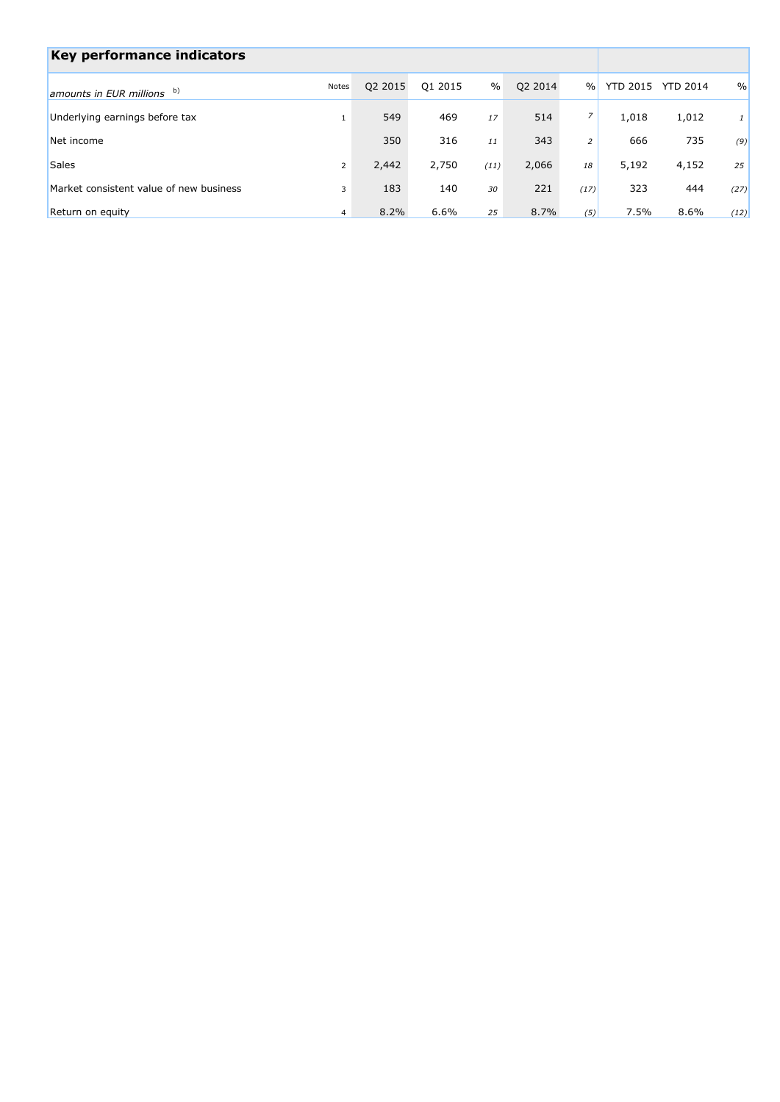| Key performance indicators              |                |         |         |      |         |                |                 |                 |               |
|-----------------------------------------|----------------|---------|---------|------|---------|----------------|-----------------|-----------------|---------------|
| amounts in EUR millions b)              | Notes          | Q2 2015 | Q1 2015 | $\%$ | Q2 2014 | $\frac{0}{0}$  | <b>YTD 2015</b> | <b>YTD 2014</b> | $\frac{0}{0}$ |
| Underlying earnings before tax          |                | 549     | 469     | 17   | 514     | $\overline{z}$ | 1,018           | 1,012           | $\mathbf{1}$  |
| Net income                              |                | 350     | 316     | 11   | 343     | $\overline{2}$ | 666             | 735             | (9)           |
| <b>Sales</b>                            | 2              | 2,442   | 2,750   | (11) | 2,066   | 18             | 5,192           | 4,152           | 25            |
| Market consistent value of new business | 3              | 183     | 140     | 30   | 221     | (17)           | 323             | 444             | (27)          |
| Return on equity                        | $\overline{4}$ | 8.2%    | 6.6%    | 25   | 8.7%    | (5)            | 7.5%            | 8.6%            | (12)          |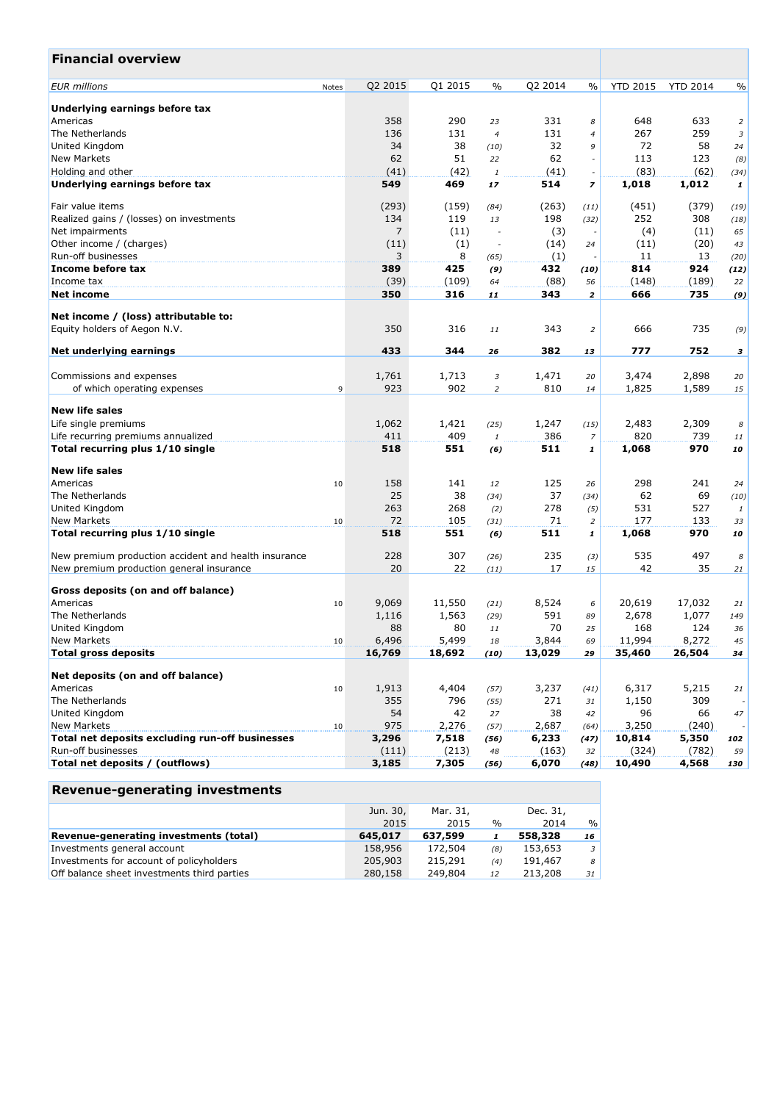| <b>Financial overview</b>                            |       |                 |                 |                          |                 |                          |                  |                 |                |
|------------------------------------------------------|-------|-----------------|-----------------|--------------------------|-----------------|--------------------------|------------------|-----------------|----------------|
| <b>EUR</b> millions                                  | Notes | Q2 2015         | Q1 2015         | $\frac{0}{0}$            | Q2 2014         | $\%$                     | <b>YTD 2015</b>  | <b>YTD 2014</b> | $\%$           |
| Underlying earnings before tax                       |       |                 |                 |                          |                 |                          |                  |                 |                |
| Americas                                             |       | 358             | 290             | 23                       | 331             | 8                        | 648              | 633             | $\overline{2}$ |
| The Netherlands                                      |       | 136             | 131             | $\overline{4}$           | 131             | 4                        | 267              | 259             | 3              |
| United Kingdom                                       |       | 34              | 38              | (10)                     | 32              | 9                        | 72               | 58              | 24             |
| <b>New Markets</b>                                   |       | 62              | 51              | 22                       | 62              | $\overline{\phantom{a}}$ | 113              | 123             | (8)            |
| Holding and other                                    |       | (41)            | (42)            | $\it 1$                  | (41)            |                          | (83)             | (62)            | (34)           |
| Underlying earnings before tax                       |       | 549             | 469             | 17                       | 514             | $\overline{z}$           | 1,018            | 1,012           | $\mathbf{1}$   |
| Fair value items                                     |       | (293)           | (159)           | (84)                     | (263)           | (11)                     | (451)            | (379)           | (19)           |
| Realized gains / (losses) on investments             |       | 134             | 119             | 13                       | 198             | (32)                     | 252              | 308             | (18)           |
| Net impairments                                      |       | 7               | (11)            | $\overline{\phantom{a}}$ | (3)             |                          | (4)              | (11)            | 65             |
| Other income / (charges)                             |       | (11)            | (1)             | $\overline{\phantom{a}}$ | (14)            | 24                       | (11)             | (20)            | 43             |
| Run-off businesses                                   |       | 3               | 8               | (65)                     | (1)             |                          | 11               | 13              | (20)           |
| Income before tax                                    |       | 389             | 425             | (9)                      | 432             | (10)                     | 814              | 924             | (12)           |
| Income tax                                           |       | (39)            | (109)           | 64                       | (88)            | 56                       | (148)            | (189)           | 22             |
| <b>Net income</b>                                    |       | 350             | 316             | 11                       | 343             | $\overline{\mathbf{z}}$  | 666              | 735             | (9)            |
| Net income / (loss) attributable to:                 |       |                 |                 |                          |                 |                          |                  |                 |                |
| Equity holders of Aegon N.V.                         |       | 350             | 316             | 11                       | 343             | 2                        | 666              | 735             | (9)            |
| Net underlying earnings                              |       | 433             | 344             | 26                       | 382             | 13                       | 777              | 752             | 3              |
| Commissions and expenses                             |       | 1,761           | 1,713           | 3                        | 1,471           | 20                       | 3,474            | 2,898           |                |
| of which operating expenses                          |       | 923             | 902             |                          | 810             |                          |                  |                 | 20             |
|                                                      | 9     |                 |                 | $\overline{2}$           |                 | 14                       | 1,825            | 1,589           | 15             |
| <b>New life sales</b>                                |       |                 |                 |                          |                 |                          |                  |                 |                |
| Life single premiums                                 |       | 1,062           | 1,421           | (25)                     | 1,247           | (15)                     | 2,483            | 2,309           | 8              |
| Life recurring premiums annualized                   |       | 411             | 409             | $\it 1$                  | 386             | 7                        | 820              | 739             | 11             |
| Total recurring plus 1/10 single                     |       | 518             | 551             | (6)                      | 511             | 1                        | 1,068            | 970             | 10             |
| <b>New life sales</b>                                |       |                 |                 |                          |                 |                          |                  |                 |                |
| Americas                                             | 10    | 158             | 141             | 12                       | 125             | 26                       | 298              | 241             | 24             |
| The Netherlands                                      |       | 25              | 38              | (34)                     | 37              | (34)                     | 62               | 69              | (10)           |
| United Kingdom                                       |       | 263             | 268             | (2)                      | 278             | (5)                      | 531              | 527             | $\mathbf{1}$   |
| <b>New Markets</b>                                   | 10    | 72              | 105             | (31)                     | 71              | $\overline{c}$           | 177              | 133             | 33             |
| Total recurring plus 1/10 single                     |       | 518             | 551             | (6)                      | 511             | $\mathbf{1}$             | 1,068            | 970             | 10             |
| New premium production accident and health insurance |       | 228             | 307             | (26)                     | 235             | (3)                      | 535              | 497             | 8              |
| New premium production general insurance             |       | 20              | 22              | (11)                     | 17              | 15                       | 42               | 35              | 21             |
|                                                      |       |                 |                 |                          |                 |                          |                  |                 |                |
| Gross deposits (on and off balance)<br>Americas      |       | 9,069           |                 |                          | 8,524           |                          | 20,619           |                 |                |
|                                                      | 10    |                 | 11,550          | (21)                     | 591             | 6                        |                  | 17,032          | 21             |
| The Netherlands                                      |       | 1,116           | 1,563           | (29)                     |                 | 89                       | 2,678            | 1,077           | 149            |
| United Kingdom                                       |       | 88              | 80              | 11                       | 70              | 25                       | 168              | 124             | 36             |
| New Markets<br><b>Total gross deposits</b>           | 10    | 6,496<br>16,769 | 5,499<br>18,692 | 18<br>(10)               | 3,844<br>13,029 | 69<br>29                 | 11,994<br>35,460 | 8,272<br>26,504 | 45<br>34       |
|                                                      |       |                 |                 |                          |                 |                          |                  |                 |                |
| Net deposits (on and off balance)                    |       |                 |                 |                          |                 |                          |                  |                 |                |
| Americas                                             | 10    | 1,913           | 4,404           | (57)                     | 3,237           | (41)                     | 6,317            | 5,215           | 21             |
| The Netherlands                                      |       | 355             | 796             | (55)                     | 271             | 31                       | 1,150            | 309             |                |
| United Kingdom                                       |       | 54              | 42              | 27                       | 38              | 42                       | 96               | 66              | 47             |
| <b>New Markets</b>                                   | 10    | 975             | 2,276           | (57)                     | 2,687           | (64)                     | 3,250            | (240)           |                |
| Total net deposits excluding run-off businesses      |       | 3,296           | 7,518           | (56)                     | 6,233           | (47)                     | 10,814           | 5,350           | 102            |
| Run-off businesses                                   |       | (111)           | (213)           | 48                       | (163)           | 32                       | (324)            | (782)           | 59             |
| Total net deposits / (outflows)                      |       | 3,185           | 7,305           | (56)                     | 6,070           | (48)                     | 10,490           | 4,568           | 130            |

|                                             | Jun. 30, | Mar. 31. |               | Dec. 31, |                |
|---------------------------------------------|----------|----------|---------------|----------|----------------|
|                                             | 2015     | 2015     | $\frac{0}{0}$ | 2014     | $\%$           |
| Revenue-generating investments (total)      | 645,017  | 637,599  |               | 558,328  | 16             |
| Investments general account                 | 158,956  | 172,504  | (8)           | 153,653  | $\overline{3}$ |
| Investments for account of policyholders    | 205,903  | 215,291  | (4)           | 191,467  | 8              |
| Off balance sheet investments third parties | 280,158  | 249,804  | 12            | 213,208  | 31             |
|                                             |          |          |               |          |                |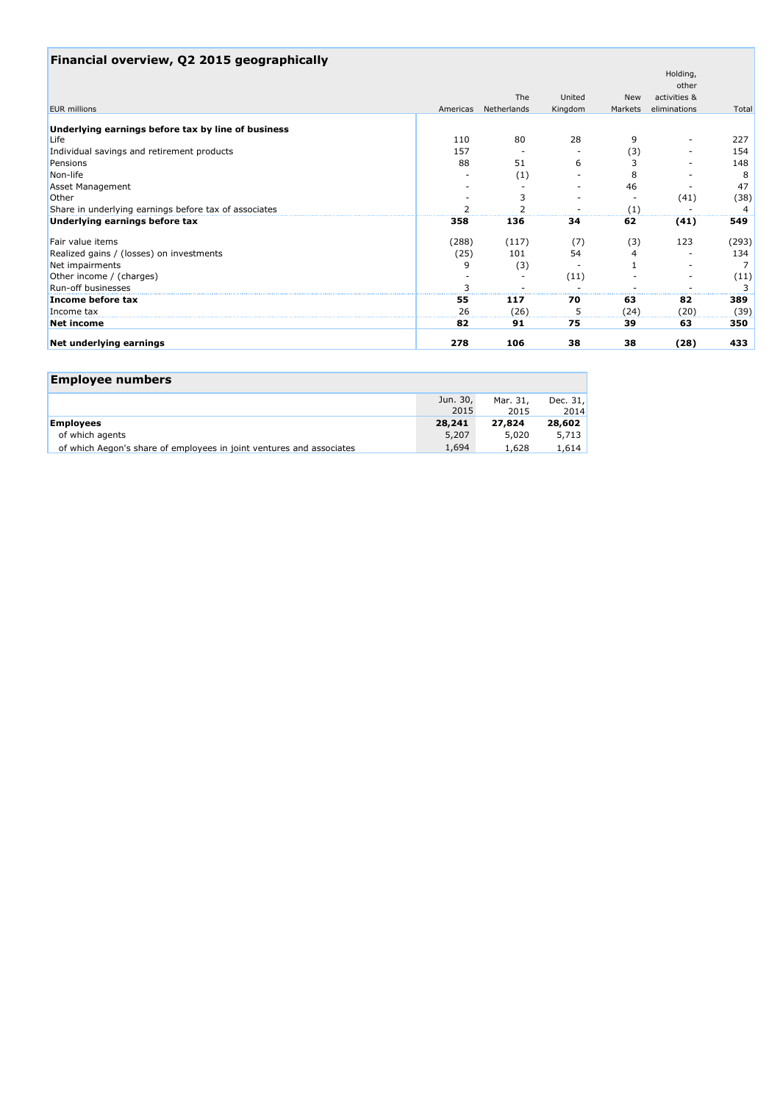| Financial overview, Q2 2015 geographically            |          |             |         |            |                   |       |
|-------------------------------------------------------|----------|-------------|---------|------------|-------------------|-------|
|                                                       |          |             |         |            | Holding,<br>other |       |
|                                                       |          | The         | United  | <b>New</b> | activities &      |       |
| <b>EUR</b> millions                                   | Americas | Netherlands | Kingdom | Markets    | eliminations      | Total |
|                                                       |          |             |         |            |                   |       |
| Underlying earnings before tax by line of business    |          |             |         |            |                   |       |
| Life                                                  | 110      | 80          | 28      | 9          |                   | 227   |
| Individual savings and retirement products            | 157      |             |         | (3)        |                   | 154   |
| Pensions                                              | 88       | 51          | 6       | 3          |                   | 148   |
| Non-life                                              |          | (1)         |         | 8          |                   | 8     |
| <b>Asset Management</b>                               |          |             |         | 46         |                   | 47    |
| Other                                                 |          | 3           |         |            | (41)              | (38)  |
| Share in underlying earnings before tax of associates |          |             |         | (1)        |                   |       |
| Underlying earnings before tax                        | 358      | 136         | 34      | 62         | (41)              | 549   |
| Fair value items                                      | (288)    | (117)       | (7)     | (3)        | 123               | (293) |
| Realized gains / (losses) on investments              | (25)     | 101         | 54      | 4          |                   | 134   |
| Net impairments                                       | 9        | (3)         |         |            |                   | 7     |
| Other income / (charges)                              |          |             | (11)    |            |                   | (11)  |
| Run-off businesses                                    |          |             |         |            |                   | 3     |
| Income before tax                                     | 55       | 117         | 70      | 63         | 82                | 389   |
| Income tax                                            | 26       | (26)        |         | (24)       | (20)              | (39)  |
| Net income                                            | 82       | 91          | 75      | 39         | 63                | 350   |
| Net underlying earnings                               | 278      | 106         | 38      | 38         | (28)              | 433   |

 $\mathcal{L}(\mathcal{A})$ 

# **Employee numbers**

|                                                                      | Jun. 30, | Mar. 31, | Dec. $31.$ |
|----------------------------------------------------------------------|----------|----------|------------|
|                                                                      | 2015     | 2015     | 2014       |
| <b>Employees</b>                                                     | 28,241   | 27,824   | 28,602     |
| of which agents                                                      | 5,207    | 5,020    | 5,713      |
| of which Aegon's share of employees in joint ventures and associates | 1,694    | 1,628    | 1,614      |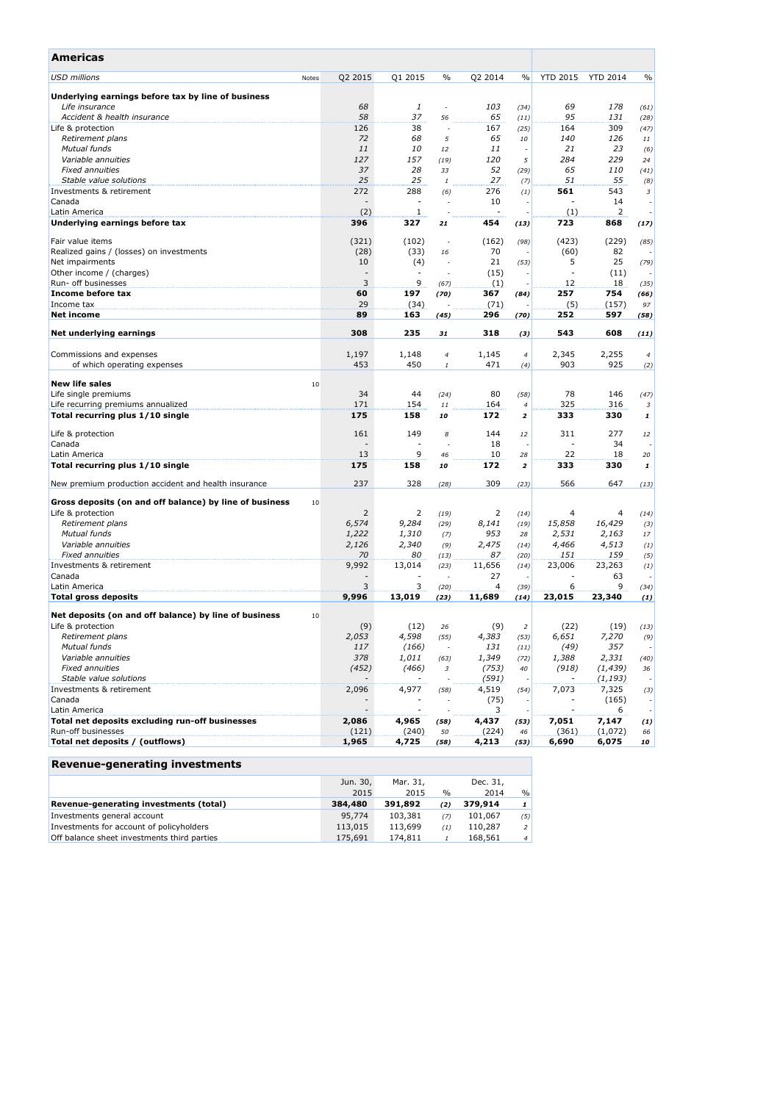| Americas                                                      |                          |                          |               |         |                         |                 |                 |                          |
|---------------------------------------------------------------|--------------------------|--------------------------|---------------|---------|-------------------------|-----------------|-----------------|--------------------------|
| <b>USD millions</b><br>Notes                                  | Q2 2015                  | Q1 2015                  | $\%$          | Q2 2014 | $\frac{0}{0}$           | <b>YTD 2015</b> | <b>YTD 2014</b> | $\frac{0}{0}$            |
| Underlying earnings before tax by line of business            |                          |                          |               |         |                         |                 |                 |                          |
| Life insurance                                                | 68                       | 1                        | $\frac{1}{2}$ | 103     | (34)                    | 69              | 178             | (61)                     |
| Accident & health insurance                                   | 58                       | 37                       | 56            | 65      | (11)                    | 95              | 131             | (28)                     |
| Life & protection                                             | 126                      | 38                       |               | 167     | (25)                    | 164             | 309             | (47)                     |
| Retirement plans                                              | 72                       | 68                       | 5             | 65      | 10                      | 140             | 126             | 11                       |
| Mutual funds                                                  | 11                       | 10                       | 12            | 11      |                         | 21              | 23              | (6)                      |
| Variable annuities                                            | 127                      | 157                      | (19)          | 120     | 5                       | 284             | 229             | 24                       |
| <b>Fixed annuities</b>                                        | 37                       | 28                       | 33            | 52      | (29)                    | 65              | <i>110</i>      | (41)                     |
| Stable value solutions                                        | 25                       | 25                       | 1             | 27      | (7)                     | 51              | 55              | (8)                      |
| Investments & retirement                                      | 272                      | 288                      | (6)           | 276     | (1)                     | 561             | 543             | 3                        |
| Canada                                                        | $\overline{a}$           |                          |               | 10      |                         |                 | 14              | $\overline{\phantom{a}}$ |
| Latin America                                                 | (2)                      | 1                        |               |         |                         | (1)             | 2               |                          |
| Underlying earnings before tax                                | 396                      | 327                      | 21            | 454     | (13)                    | 723             | 868             | (17)                     |
| Fair value items                                              | (321)                    | (102)                    | ÷,            | (162)   | (98)                    | (423)           | (229)           | (85)                     |
| Realized gains / (losses) on investments                      | (28)                     | (33)                     | 16            | 70      |                         | (60)            | 82              |                          |
| Net impairments                                               | 10                       | (4)                      |               | 21      | (53)                    | 5               | 25              | (79)                     |
| Other income / (charges)                                      | $\overline{\phantom{a}}$ | $\overline{\phantom{a}}$ |               | (15)    |                         | $\sim$          | (11)            |                          |
| Run- off businesses                                           | 3                        | 9                        | (67)          | (1)     |                         | 12              | 18              | (35)                     |
| Income before tax                                             | 60                       | 197                      | (70)          | 367     | (84)                    | 257             | 754             | (66)                     |
| Income tax                                                    | 29                       | (34)                     |               | (71)    |                         | (5)             | (157)           | 97                       |
| <b>Net income</b>                                             | 89                       | 163                      | (45)          | 296     | (70)                    | 252             | 597             | (58)                     |
| Net underlying earnings                                       | 308                      | 235                      | 31            | 318     | (3)                     | 543             | 608             | (11)                     |
|                                                               |                          |                          |               |         |                         |                 |                 |                          |
| Commissions and expenses                                      | 1,197                    | 1,148                    | 4             | 1,145   | 4                       | 2,345           | 2,255           | $\overline{4}$           |
| of which operating expenses                                   | 453                      | 450                      | $\it 1$       | 471     | (4)                     | 903             | 925             | (2)                      |
| <b>New life sales</b><br>10                                   |                          |                          |               |         |                         |                 |                 |                          |
| Life single premiums                                          | 34                       | 44                       | (24)          | 80      | (58)                    | 78              | 146             | (47)                     |
| Life recurring premiums annualized                            | 171                      | 154                      | 11            | 164     | 4                       | 325             | 316             | 3                        |
| Total recurring plus 1/10 single                              | 175                      | 158                      | 10            | 172     | $\overline{\mathbf{z}}$ | 333             | 330             | 1                        |
|                                                               |                          |                          |               |         |                         |                 |                 |                          |
| Life & protection                                             | 161                      | 149                      | 8             | 144     | 12                      | 311             | 277             | 12                       |
| Canada                                                        | ٠                        |                          |               | 18      |                         | ٠               | 34              |                          |
| Latin America                                                 | 13                       | 9                        | 46            | 10      | 28                      | 22              | 18              | 20                       |
| Total recurring plus 1/10 single                              | 175                      | 158                      | 10            | 172     | $\mathbf{z}$            | 333             | 330             | 1                        |
| New premium production accident and health insurance          | 237                      | 328                      | (28)          | 309     | (23)                    | 566             | 647             | (13)                     |
| Gross deposits (on and off balance) by line of business<br>10 |                          |                          |               |         |                         |                 |                 |                          |
| Life & protection                                             | 2                        | 2                        | (19)          | 2       | (14)                    | 4               | 4               | (14)                     |
| Retirement plans                                              | 6,574                    | 9,284                    | (29)          | 8,141   | (19)                    | 15,858          | 16,429          | (3)                      |
| Mutual funds                                                  | 1,222                    | 1,310                    | (7)           | 953     | 28                      | 2,531           | 2,163           | 17                       |
| Variable annuities                                            | 2,126                    | 2,340                    | (9)           | 2,475   | (14)                    | 4,466           | 4,513           | (1)                      |
| <b>Fixed annuities</b>                                        | 70                       | 80                       | (13)          | 87      | (20)                    | 151             | 159             | (5)                      |
| Investments & retirement                                      | 9,992                    | 13,014                   | (23)          | 11,656  | (14)                    | 23,006          | 23,263          | (1)                      |
| Canada                                                        |                          |                          |               | 27      |                         |                 | 63              |                          |
| Latin America                                                 | 3                        | 3                        | (20)          | 4       | (39)                    | 6               | 9               | (34)                     |
| <b>Total gross deposits</b>                                   | 9,996                    | 13,019                   | (23)          | 11,689  | (14)                    | 23,015          | 23,340          | (1)                      |
| Net deposits (on and off balance) by line of business<br>10   |                          |                          |               |         |                         |                 |                 |                          |
| Life & protection                                             | (9)                      | (12)                     | 26            | (9)     | 2                       | (22)            | (19)            | (13)                     |
| Retirement plans                                              | 2,053                    | 4,598                    | (55)          | 4,383   | (53)                    | 6,651           | 7,270           | (9)                      |
| Mutual funds                                                  | 117                      | (166)                    |               | 131     | (11)                    | (49)            | 357             |                          |
| Variable annuities                                            | 378                      | 1,011                    | (63)          | 1,349   | (72)                    | 1,388           | 2,331           | (40)                     |
| <b>Fixed annuities</b>                                        | (452)                    | (466)                    | 3             | (753)   | 40                      | (918)           | (1, 439)        | 36                       |
| Stable value solutions                                        |                          |                          |               | (591)   |                         |                 | (1, 193)        |                          |
| Investments & retirement                                      | 2,096                    | 4,977                    | (58)          | 4,519   | (54)                    | 7,073           | 7,325           | (3)                      |
| Canada                                                        |                          |                          |               | (75)    |                         |                 | (165)           | $\overline{\phantom{a}}$ |
| Latin America                                                 |                          |                          |               | 3       |                         |                 | 6               | $\overline{\phantom{a}}$ |
| Total net deposits excluding run-off businesses               | 2,086                    | 4,965                    | (58)          | 4,437   | (53)                    | 7,051           | 7,147           | $\left(1\right)$         |
| Run-off businesses                                            | (121)                    | (240)                    | 50            | (224)   | 46                      | (361)           | (1,072)         | 66                       |
| Total net deposits / (outflows)                               | 1,965                    | 4,725                    | (58)          | 4,213   | (53)                    | 6,690           | 6,075           | 10                       |
|                                                               |                          |                          |               |         |                         |                 |                 |                          |

|                                             | Jun. 30, | Mar. 31, |      | Dec. 31. |                |
|---------------------------------------------|----------|----------|------|----------|----------------|
|                                             | 2015     | 2015     | $\%$ | 2014     | $\frac{0}{0}$  |
| Revenue-generating investments (total)      | 384,480  | 391,892  | (2)  | 379,914  | 1 <sup>1</sup> |
| Investments general account                 | 95,774   | 103,381  | (7)  | 101.067  | (5)            |
| Investments for account of policyholders    | 113,015  | 113,699  | (1)  | 110,287  | 2 <sup>1</sup> |
| Off balance sheet investments third parties | 175,691  | 174,811  |      | 168.561  | 4 <sup>1</sup> |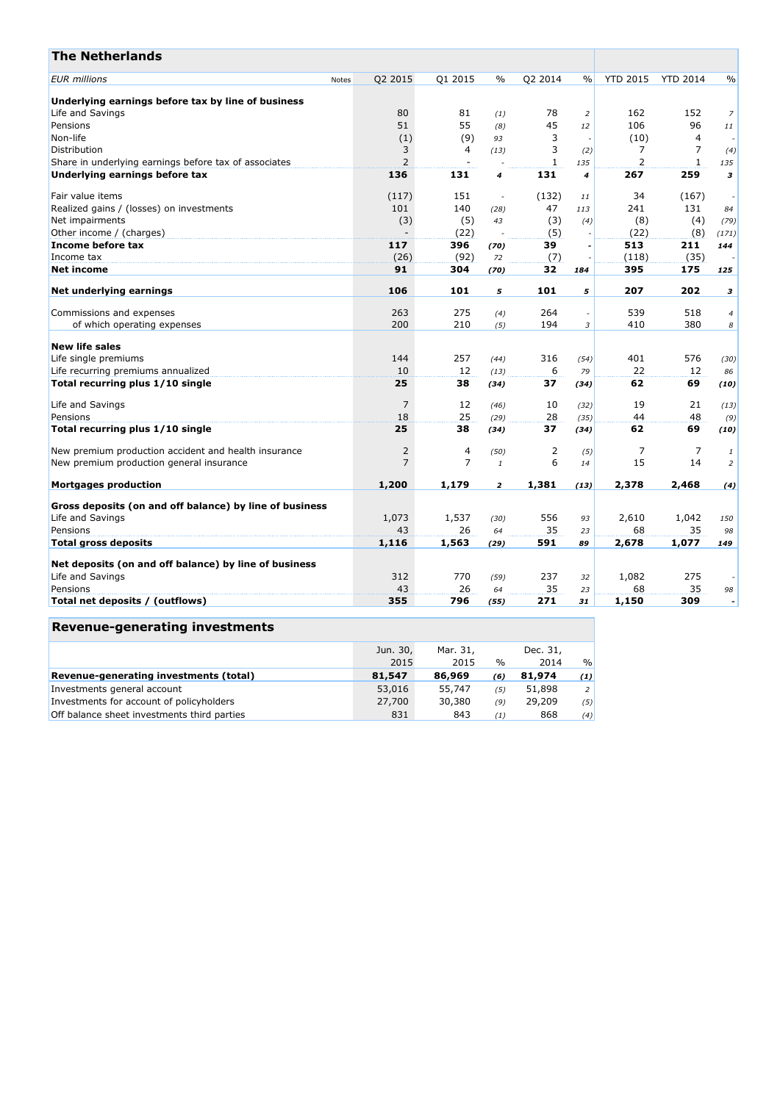| <b>The Netherlands</b>                                  |       |                |                          |                |         |                    |                 |                 |                          |
|---------------------------------------------------------|-------|----------------|--------------------------|----------------|---------|--------------------|-----------------|-----------------|--------------------------|
| <b>EUR</b> millions                                     | Notes | Q2 2015        | Q1 2015                  | $\frac{0}{0}$  | Q2 2014 | $\frac{0}{0}$      | <b>YTD 2015</b> | <b>YTD 2014</b> | $\frac{0}{0}$            |
| Underlying earnings before tax by line of business      |       |                |                          |                |         |                    |                 |                 |                          |
| Life and Savings                                        |       | 80             | 81                       | (1)            | 78      | $\overline{2}$     | 162             | 152             | $\overline{7}$           |
| Pensions                                                |       | 51             | 55                       | (8)            | 45      | 12                 | 106             | 96              | 11                       |
| Non-life                                                |       | (1)            | (9)                      | 93             | 3       | ÷,                 | (10)            | $\overline{4}$  |                          |
| Distribution                                            |       | 3              | 4                        | (13)           | 3       | (2)                | 7               | 7               | (4)                      |
| Share in underlying earnings before tax of associates   |       | $\overline{2}$ | $\overline{\phantom{a}}$ |                | 1       | 135                | 2               | $\mathbf{1}$    | 135                      |
| Underlying earnings before tax                          |       | 136            | 131                      | 4              | 131     | $\overline{\bf 4}$ | 267             | 259             | 3                        |
| Fair value items                                        |       | (117)          | 151                      | $\sim$         | (132)   | 11                 | 34              | (167)           |                          |
| Realized gains / (losses) on investments                |       | 101            | 140                      | (28)           | 47      | 113                | 241             | 131             | 84                       |
| Net impairments                                         |       | (3)            | (5)                      | 43             | (3)     | (4)                | (8)             | (4)             | (79)                     |
| Other income / (charges)                                |       |                | (22)                     |                | (5)     | ÷,                 | (22)            | (8)             | (171)                    |
| Income before tax                                       |       | 117            | 396                      | (70)           | 39      | Ĭ.                 | 513             | 211             | 144                      |
| Income tax                                              |       | (26)           | (92)                     | 72             | (7)     |                    | (118)           | (35)            |                          |
| Net income                                              |       | 91             | 304                      | (70)           | 32      | 184                | 395             | 175             | 125                      |
|                                                         |       | 106            | 101                      |                | 101     |                    | 207             | 202             |                          |
| Net underlying earnings                                 |       |                |                          | 5              |         | 5                  |                 |                 | 3                        |
| Commissions and expenses                                |       | 263            | 275                      | (4)            | 264     | $\sim$             | 539             | 518             | $\overline{4}$           |
| of which operating expenses                             |       | 200            | 210                      | (5)            | 194     | 3                  | 410             | 380             | 8                        |
| <b>New life sales</b>                                   |       |                |                          |                |         |                    |                 |                 |                          |
| Life single premiums                                    |       | 144            | 257                      | (44)           | 316     | (54)               | 401             | 576             | (30)                     |
| Life recurring premiums annualized                      |       | 10             | 12                       | (13)           | 6       | 79                 | 22              | 12              | 86                       |
| Total recurring plus 1/10 single                        |       | 25             | 38                       | (34)           | 37      | (34)               | 62              | 69              | (10)                     |
|                                                         |       |                |                          |                |         |                    |                 |                 |                          |
| Life and Savings                                        |       | 7              | 12                       | (46)           | 10      | (32)               | 19              | 21              | (13)                     |
| Pensions                                                |       | 18             | 25                       | (29)           | 28      | (35)               | 44              | 48              | (9)                      |
| Total recurring plus 1/10 single                        |       | 25             | 38                       | (34)           | 37      | (34)               | 62              | 69              | (10)                     |
| New premium production accident and health insurance    |       | 2              | $\overline{4}$           | (50)           | 2       | (5)                | 7               | $\overline{7}$  | $\mathbf{1}$             |
| New premium production general insurance                |       | $\overline{7}$ | $\overline{7}$           | $\mathbf{1}$   | 6       | 14                 | 15              | 14              | $\overline{2}$           |
| <b>Mortgages production</b>                             |       | 1,200          | 1,179                    | $\overline{2}$ | 1,381   | (13)               | 2,378           | 2,468           | (4)                      |
|                                                         |       |                |                          |                |         |                    |                 |                 |                          |
| Gross deposits (on and off balance) by line of business |       |                |                          |                |         |                    |                 |                 |                          |
| Life and Savings                                        |       | 1,073          | 1,537                    | (30)           | 556     | 93                 | 2,610           | 1,042           | 150                      |
| Pensions                                                |       | 43             | 26                       | 64             | 35      | 23                 | 68              | 35              | 98                       |
| <b>Total gross deposits</b>                             |       | 1,116          | 1,563                    | (29)           | 591     | 89                 | 2,678           | 1,077           | 149                      |
| Net deposits (on and off balance) by line of business   |       |                |                          |                |         |                    |                 |                 |                          |
| Life and Savings                                        |       | 312            | 770                      | (59)           | 237     | 32                 | 1,082           | 275             |                          |
| Pensions                                                |       | 43             | 26                       | 64             | 35      | 23                 | 68              | 35              | 98                       |
| Total net deposits / (outflows)                         |       | 355            | 796                      | (55)           | 271     | 31                 | 1,150           | 309             | $\overline{\phantom{a}}$ |

|                                             | Jun. 30, | Mar. 31. |               | Dec. 31, |                |
|---------------------------------------------|----------|----------|---------------|----------|----------------|
|                                             | 2015     | 2015     | $\frac{0}{0}$ | 2014     | $\%$           |
| Revenue-generating investments (total)      | 81,547   | 86,969   | (6)           | 81,974   | (1)            |
| Investments general account                 | 53,016   | 55,747   | (5)           | 51,898   | 2 <sup>1</sup> |
| Investments for account of policyholders    | 27,700   | 30,380   | (9)           | 29,209   | (5)            |
| Off balance sheet investments third parties | 831      | 843      | (1)           | 868      | (4)            |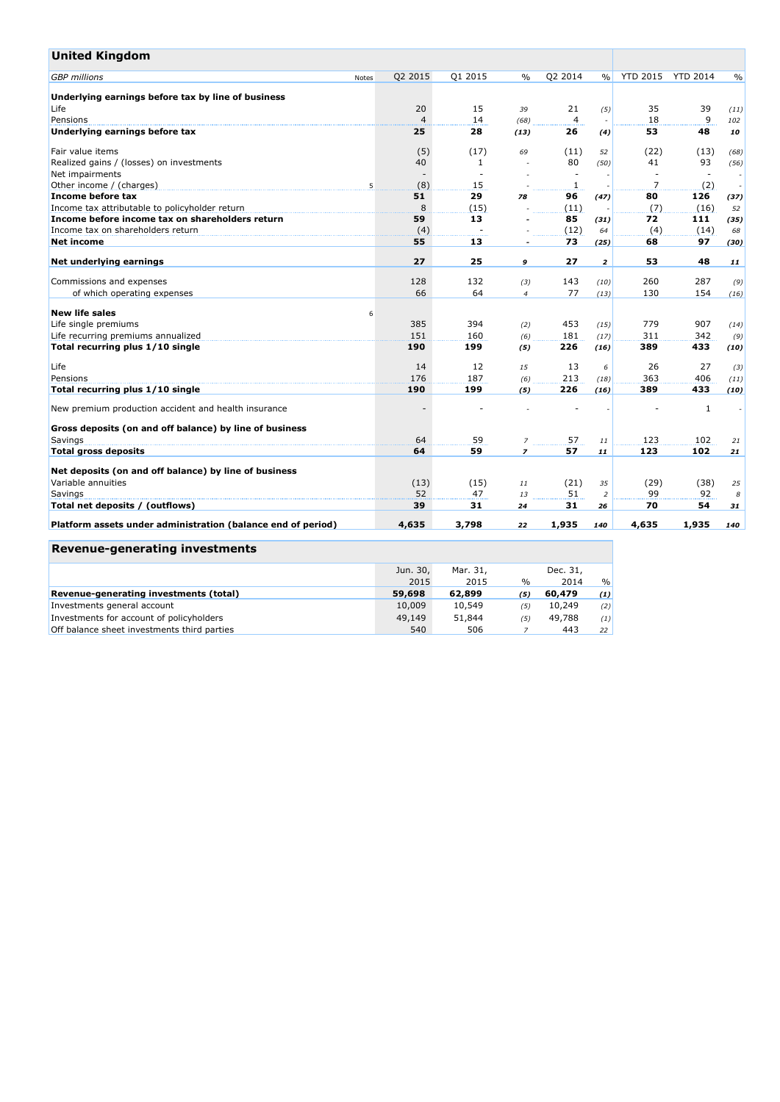| <b>United Kingdom</b>                                        |       |                |              |                |                          |                |                          |                          |               |
|--------------------------------------------------------------|-------|----------------|--------------|----------------|--------------------------|----------------|--------------------------|--------------------------|---------------|
| <b>GBP</b> millions                                          | Notes | Q2 2015        | Q1 2015      | $\%$           | Q2 2014                  | $\frac{0}{0}$  | <b>YTD 2015</b>          | <b>YTD 2014</b>          | $\frac{0}{0}$ |
| Underlying earnings before tax by line of business           |       |                |              |                |                          |                |                          |                          |               |
| Life                                                         |       | 20             | 15           | 39             | 21                       | (5)            | 35                       | 39                       | (11)          |
| Pensions                                                     |       | $\overline{4}$ | 14           | (68)           | 4                        |                | 18                       | 9                        | 102           |
| Underlying earnings before tax                               |       | 25             | 28           | (13)           | 26                       | (4)            | 53                       | 48                       | 10            |
| Fair value items                                             |       | (5)            | (17)         | 69             | (11)                     | 52             | (22)                     | (13)                     | (68)          |
| Realized gains / (losses) on investments                     |       | 40             | $\mathbf{1}$ |                | 80                       | (50)           | 41                       | 93                       | (56)          |
| Net impairments                                              |       |                |              |                | $\overline{\phantom{a}}$ |                | $\overline{\phantom{a}}$ | $\overline{\phantom{a}}$ |               |
| Other income / (charges)                                     | 5     | (8)            | 15           |                | 1                        |                | $\overline{7}$           | (2)                      |               |
| Income before tax                                            |       | 51             | 29           | 78             | 96                       | (47)           | 80                       | 126                      | (37)          |
| Income tax attributable to policyholder return               |       | 8              | (15)         |                | (11)                     |                | (7)                      | (16)                     | 52            |
| Income before income tax on shareholders return              |       | 59             | 13           |                | 85                       | (31)           | 72                       | 111                      | (35)          |
| Income tax on shareholders return                            |       | (4)            |              |                | (12)                     | 64             | (4)                      | (14)                     | 68            |
| Net income                                                   |       | 55             | 13           |                | 73                       | (25)           | 68                       | 97                       | (30)          |
| Net underlying earnings                                      |       | 27             | 25           | 9              | 27                       | $\overline{2}$ | 53                       | 48                       | 11            |
| Commissions and expenses                                     |       | 128            | 132          | (3)            | 143                      | (10)           | 260                      | 287                      | (9)           |
| of which operating expenses                                  |       | 66             | 64           | $\overline{4}$ | 77                       | (13)           | 130                      | 154                      | (16)          |
| <b>New life sales</b>                                        | 6     |                |              |                |                          |                |                          |                          |               |
| Life single premiums                                         |       | 385            | 394          | (2)            | 453                      | (15)           | 779                      | 907                      | (14)          |
| Life recurring premiums annualized                           |       | 151            | 160          | (6)            | 181                      | (17)           | 311                      | 342                      | (9)           |
| Total recurring plus 1/10 single                             |       | 190            | 199          | (5)            | 226                      | (16)           | 389                      | 433                      | (10)          |
|                                                              |       |                |              |                |                          |                |                          |                          |               |
| Life                                                         |       | 14             | 12           | 15             | 13                       | 6              | 26                       | 27                       | (3)           |
| Pensions                                                     |       | 176            | 187          | (6)            | 213                      | (18)           | 363                      | 406                      | (11)          |
| Total recurring plus 1/10 single                             |       | 190            | 199          | (5)            | 226                      | (16)           | 389                      | 433                      | (10)          |
| New premium production accident and health insurance         |       |                |              |                |                          |                |                          | 1                        |               |
| Gross deposits (on and off balance) by line of business      |       |                |              |                |                          |                |                          |                          |               |
| Savings                                                      |       | 64             | 59           | $\overline{z}$ | 57                       | 11             | 123                      | 102                      | 21            |
| <b>Total gross deposits</b>                                  |       | 64             | 59           | $\overline{z}$ | 57                       | 11             | 123                      | 102                      | 21            |
| Net deposits (on and off balance) by line of business        |       |                |              |                |                          |                |                          |                          |               |
| Variable annuities                                           |       | (13)           | (15)         | 11             | (21)                     | 35             | (29)                     | (38)                     | 25            |
| Savings                                                      |       | 52             | 47           | 13             | 51                       | $\overline{2}$ | 99                       | 92                       | 8             |
| Total net deposits / (outflows)                              |       | 39             | 31           | 24             | 31                       | 26             | 70                       | 54                       | 31            |
| Platform assets under administration (balance end of period) |       | 4,635          | 3,798        | 22             | 1,935                    | 140            | 4,635                    | 1,935                    | 140           |
| <b>Revenue-generating investments</b>                        |       |                |              |                |                          |                |                          |                          |               |
|                                                              |       |                |              |                |                          |                |                          |                          |               |

|                                             | Jun. 30, | Mar. 31, |      | Dec. 31, |      |
|---------------------------------------------|----------|----------|------|----------|------|
|                                             | 2015     | 2015     | $\%$ | 2014     | $\%$ |
| Revenue-generating investments (total)      | 59,698   | 62,899   | (5)  | 60,479   | (1)  |
| Investments general account                 | 10,009   | 10,549   | (5)  | 10,249   | (2)  |
| Investments for account of policyholders    | 49,149   | 51,844   | (5)  | 49.788   | (1)  |
| Off balance sheet investments third parties | 540      | 506      |      | 443      | 22   |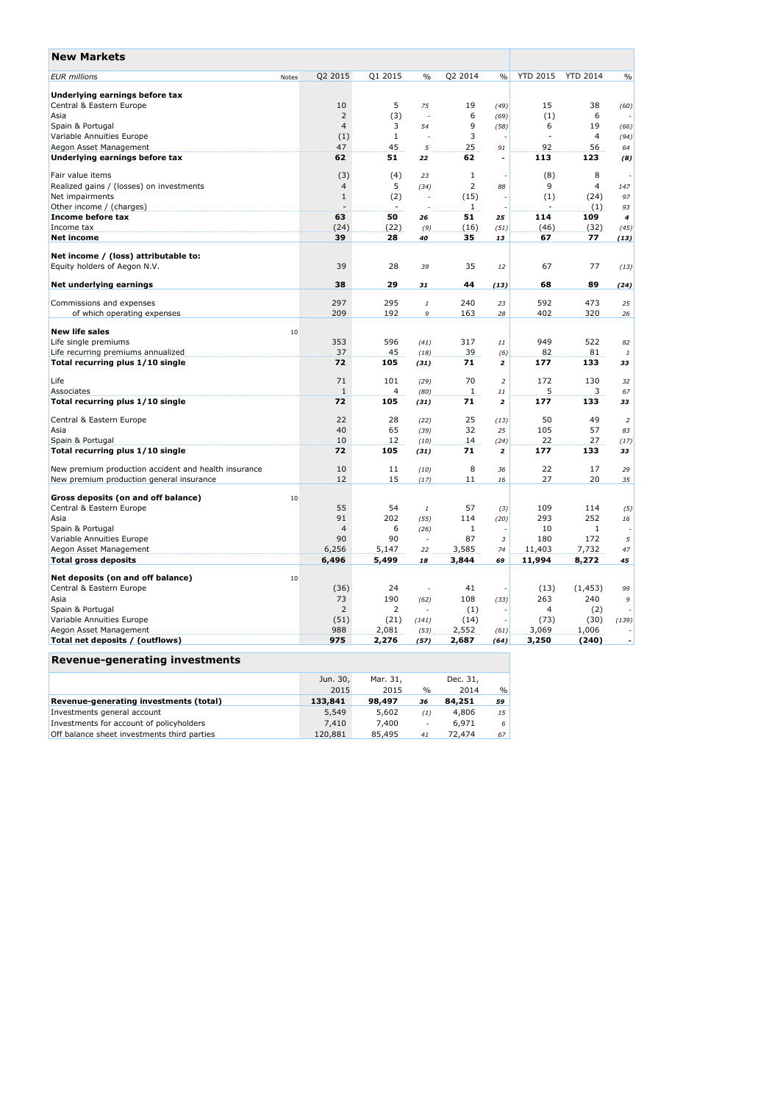| <b>New Markets</b>                                   |                |         |                |         |                          |                 |                 |                          |
|------------------------------------------------------|----------------|---------|----------------|---------|--------------------------|-----------------|-----------------|--------------------------|
| <b>EUR</b> millions<br>Notes                         | Q2 2015        | Q1 2015 | $\frac{0}{0}$  | Q2 2014 | $\frac{0}{0}$            | <b>YTD 2015</b> | <b>YTD 2014</b> | $\frac{0}{0}$            |
| Underlying earnings before tax                       |                |         |                |         |                          |                 |                 |                          |
| Central & Eastern Europe                             | 10             | 5       | 75             | 19      | (49)                     | 15              | 38              | (60)                     |
| Asia                                                 | $\overline{2}$ | (3)     | J.             | 6       | (69)                     | (1)             | 6               |                          |
| Spain & Portugal                                     | $\overline{4}$ | 3       | 54             | 9       | (58)                     | 6               | 19              | (66)                     |
| Variable Annuities Europe                            | (1)            | 1       |                | 3       |                          |                 | $\overline{4}$  | (94)                     |
| Aegon Asset Management                               | 47             | 45      | 5              | 25      | 91                       | 92              | 56              | 64                       |
| Underlying earnings before tax                       | 62             | 51      | 22             | 62      | $\overline{\phantom{a}}$ | 113             | 123             | (8)                      |
| Fair value items                                     | (3)            | (4)     | 23             | 1       |                          | (8)             | 8               | ÷.                       |
| Realized gains / (losses) on investments             | 4              | 5       | (34)           | 2       | 88                       | 9               | $\overline{4}$  | 147                      |
| Net impairments                                      | $\mathbf 1$    | (2)     | ÷.             | (15)    |                          | (1)             | (24)            | 97                       |
| Other income / (charges)                             |                |         |                | 1       |                          |                 | (1)             | 93                       |
| Income before tax                                    | 63             | 50      | 26             | 51      | 25                       | 114             | 109             | $\boldsymbol{4}$         |
| Income tax                                           | (24)           | (22)    | (9)            | (16)    | (51)                     | (46)            | (32)            | (45)                     |
| <b>Net income</b>                                    | 39             | 28      | 40             | 35      | 13                       | 67              | 77              | (13)                     |
| Net income / (loss) attributable to:                 |                |         |                |         |                          |                 |                 |                          |
| Equity holders of Aegon N.V.                         | 39             | 28      | 39             | 35      | 12                       | 67              | 77              | (13)                     |
| Net underlying earnings                              | 38             | 29      | 31             | 44      | (13)                     | 68              | 89              | (24)                     |
|                                                      |                |         |                |         |                          |                 |                 |                          |
| Commissions and expenses                             | 297            | 295     | $\it 1$        | 240     | 23                       | 592             | 473             | 25                       |
| of which operating expenses                          | 209            | 192     | 9              | 163     | 28                       | 402             | 320             | 26                       |
| <b>New life sales</b><br>10                          |                |         |                |         |                          |                 |                 |                          |
| Life single premiums                                 | 353            | 596     | (41)           | 317     | $11\,$                   | 949             | 522             | 82                       |
| Life recurring premiums annualized                   | 37             | 45      | (18)           | 39      | (6)                      | 82              | 81              | 1                        |
| Total recurring plus 1/10 single                     | 72             | 105     | (31)           | 71      | $\overline{\mathbf{z}}$  | 177             | 133             | 33                       |
| Life                                                 | 71             | 101     | (29)           | 70      | $\overline{2}$           | 172             | 130             | 32                       |
| Associates                                           | $\mathbf{1}$   | 4       | (80)           | 1       | 11                       | 5               | 3               | 67                       |
| Total recurring plus 1/10 single                     | 72             | 105     | (31)           | 71      | 2                        | 177             | 133             | 33                       |
| Central & Eastern Europe                             | 22             | 28      | (22)           | 25      | (13)                     | 50              | 49              | $\overline{z}$           |
| Asia                                                 | 40             | 65      | (39)           | 32      | 25                       | 105             | 57              | 83                       |
| Spain & Portugal                                     | 10             | 12      | (10)           | 14      | (24)                     | 22              | 27              | (17)                     |
| Total recurring plus 1/10 single                     | 72             | 105     | (31)           | 71      | $\overline{\mathbf{z}}$  | 177             | 133             | 33                       |
| New premium production accident and health insurance | 10             | 11      | (10)           | 8       | 36                       | 22              | 17              | 29                       |
| New premium production general insurance             | 12             | 15      | (17)           | 11      | 16                       | 27              | 20              | 35                       |
| Gross deposits (on and off balance)<br>10            |                |         |                |         |                          |                 |                 |                          |
| Central & Eastern Europe                             | 55             | 54      | $\it 1$        | 57      | (3)                      | 109             | 114             | (5)                      |
| Asia                                                 | 91             | 202     | (55)           | 114     | (20)                     | 293             | 252             | 16                       |
| Spain & Portugal                                     | $\overline{4}$ | 6       | (26)           | 1       |                          | 10              | 1               | $\overline{a}$           |
| Variable Annuities Europe                            | 90             | 90      | $\overline{a}$ | 87      | 3                        | 180             | 172             | 5                        |
| Aegon Asset Management                               | 6,256          | 5,147   | 22             | 3,585   | 74                       | 11,403          | 7,732           | 47                       |
| <b>Total gross deposits</b>                          | 6,496          | 5,499   | 18             | 3,844   | 69                       | 11,994          | 8,272           | 45                       |
| Net deposits (on and off balance)<br>10              |                |         |                |         |                          |                 |                 |                          |
| Central & Eastern Europe                             | (36)           | 24      | J.             | 41      |                          | (13)            | (1, 453)        | 99                       |
| Asia                                                 | 73             | 190     | (62)           | 108     | (33)                     | 263             | 240             | 9                        |
| Spain & Portugal                                     | $\overline{2}$ | 2       |                | (1)     |                          | 4               | (2)             |                          |
| Variable Annuities Europe                            | (51)           | (21)    | (141)          | (14)    | J.                       | (73)            | (30)            | (139)                    |
| Aegon Asset Management                               | 988            | 2,081   | (53)           | 2,552   | (61)                     | 3,069           | 1,006           |                          |
| Total net deposits / (outflows)                      | 975            | 2,276   | (57)           | 2,687   | (64)                     | 3,250           | (240)           | $\overline{\phantom{a}}$ |
|                                                      |                |         |                |         |                          |                 |                 |                          |

|                                             | Jun. 30, | Mar. 31. |                          | Dec. 31, |               |
|---------------------------------------------|----------|----------|--------------------------|----------|---------------|
|                                             | 2015     | 2015     | $\%$                     | 2014     | $\frac{0}{0}$ |
| Revenue-generating investments (total)      | 133,841  | 98,497   | 36                       | 84,251   | 59            |
| Investments general account                 | 5.549    | 5,602    | (1)                      | 4,806    | 15            |
| Investments for account of policyholders    | 7.410    | 7.400    | $\overline{\phantom{a}}$ | 6.971    | -6            |
| Off balance sheet investments third parties | 120.881  | 85,495   | 41                       | 72.474   | 67            |
|                                             |          |          |                          |          |               |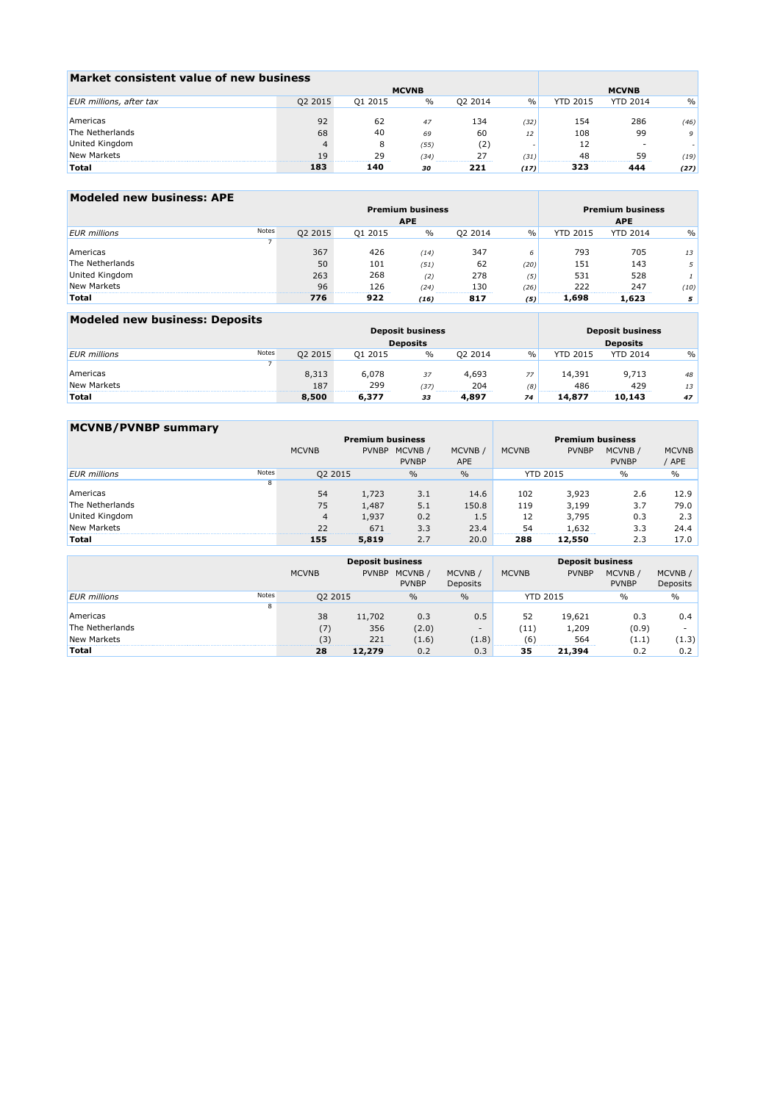| Market consistent value of new business |              |         |               |         |      |                 |                 |      |
|-----------------------------------------|--------------|---------|---------------|---------|------|-----------------|-----------------|------|
|                                         | <b>MCVNB</b> |         |               |         |      |                 |                 |      |
| EUR millions, after tax                 | Q2 2015      | Q1 2015 | $\frac{0}{0}$ | 02 2014 | $\%$ | <b>YTD 2015</b> | <b>YTD 2014</b> | $\%$ |
|                                         |              |         |               |         |      |                 |                 |      |
| Americas                                | 92           | 62      | 47            | 134     | (32) | 154             | 286             | (46) |
| The Netherlands                         | 68           | 40      | 69            | 60      | 12   | 108             | 99              | 9    |
| United Kingdom                          |              |         | (55)          | (2)     |      |                 |                 |      |
| New Markets                             | 19           | 29      | (34)          |         | (31) | 48              | 59              | (19) |
| Total                                   | 183          | 140     | 30            | 221     | (17) | 323             | 444             | (27) |

| Modeled new business: APE |       |         |                         |                         |            |      |                 |                 |               |
|---------------------------|-------|---------|-------------------------|-------------------------|------------|------|-----------------|-----------------|---------------|
|                           |       |         | <b>Premium business</b> | <b>Premium business</b> |            |      |                 |                 |               |
|                           |       |         | <b>APE</b>              |                         | <b>APE</b> |      |                 |                 |               |
| <b>EUR</b> millions       | Notes | Q2 2015 | Q1 2015                 | $\%$                    | 02 2014    | $\%$ | <b>YTD 2015</b> | <b>YTD 2014</b> | $\frac{0}{0}$ |
|                           |       |         |                         |                         |            |      |                 |                 |               |
| Americas                  |       | 367     | 426                     | (14)                    | 347        | 6    | 793             | 705             | 13            |
| The Netherlands           |       | 50      | 101                     | (51)                    | 62         | (20) | 151             | 143             | 5             |
| United Kingdom            |       | 263     | 268                     | (2)                     | 278        | (5)  | 531             | 528             |               |
| New Markets               |       | 96      | 126                     | (24)                    | 130        | (26) | 222             | 247             | (10)          |
| <b>Total</b>              |       | 776     | 922                     | (16)                    | 817        | (5)  | 1,698           | 1,623           | 5             |

| Modeled new business: Deposits |  |         |                         |                                            |         |      |                 |                 |               |
|--------------------------------|--|---------|-------------------------|--------------------------------------------|---------|------|-----------------|-----------------|---------------|
|                                |  |         | <b>Deposit business</b> | <b>Deposit business</b><br><b>Deposits</b> |         |      |                 |                 |               |
|                                |  |         | <b>Deposits</b>         |                                            |         |      |                 |                 |               |
| Notes<br><b>EUR</b> millions   |  | Q2 2015 | 01 2015                 | $\%$                                       | 02 2014 | $\%$ | <b>YTD 2015</b> | <b>YTD 2014</b> | $\frac{0}{0}$ |
|                                |  |         |                         |                                            |         |      |                 |                 |               |
| Americas                       |  | 8,313   | 6,078                   | 37                                         | 4,693   | 77   | 14,391          | 9,713           | 48            |
| New Markets                    |  | 187     | 299                     | (37)                                       | 204     | (8)  | 486             | 429             | 13            |
| <b>Total</b>                   |  | 8.500   | 6,377                   | 33                                         | 4.897   | 74   | 14,877          | 10,143          | 47            |

| <b>MCVNB/PVNBP summary</b> |       |                         |              |                        |                       |                 |                         |                         |                       |  |  |  |
|----------------------------|-------|-------------------------|--------------|------------------------|-----------------------|-----------------|-------------------------|-------------------------|-----------------------|--|--|--|
|                            |       | <b>Premium business</b> |              |                        |                       |                 | <b>Premium business</b> |                         |                       |  |  |  |
|                            |       | <b>MCVNB</b>            | <b>PVNBP</b> | MCVNB/<br><b>PVNBP</b> | MCVNB /<br><b>APE</b> | <b>MCVNB</b>    | <b>PVNBP</b>            | MCVNB /<br><b>PVNBP</b> | <b>MCVNB</b><br>' APE |  |  |  |
| <b>EUR</b> millions        | Notes | Q2 2015                 |              | $\%$                   | $\frac{0}{0}$         | <b>YTD 2015</b> |                         | $\%$                    | $\%$                  |  |  |  |
|                            | 8     |                         |              |                        |                       |                 |                         |                         |                       |  |  |  |
| Americas                   |       | 54                      | 1,723        | 3.1                    | 14.6                  | 102             | 3,923                   | 2.6                     | 12.9                  |  |  |  |
| The Netherlands            |       | 75                      | 1,487        | 5.1                    | 150.8                 | 119             | 3,199                   | 3.7                     | 79.0                  |  |  |  |
| United Kingdom             |       | $\overline{4}$          | 1,937        | 0.2                    | 1.5                   | 12              | 3,795                   | 0.3                     | 2.3                   |  |  |  |
| New Markets                |       | 22                      | 671          | 3.3                    | 23.4                  | 54              | 1,632                   | 3.3                     | 24.4                  |  |  |  |
| Total                      |       | 155                     | 5,819        | 2.7                    | 20.0                  | 288             | 12,550                  | 2.3                     | 17.0                  |  |  |  |

|                     |       |              | <b>Deposit business</b> |                        | <b>Deposit business</b>  |              |                 |                        |                     |
|---------------------|-------|--------------|-------------------------|------------------------|--------------------------|--------------|-----------------|------------------------|---------------------|
|                     |       | <b>MCVNB</b> | <b>PVNBP</b>            | MCVNB/<br><b>PVNBP</b> | MCVNB /<br>Deposits      | <b>MCVNB</b> | <b>PVNBP</b>    | MCVNB/<br><b>PVNBP</b> | MCVNB /<br>Deposits |
| <b>EUR</b> millions | Notes | 02 2015      |                         | $\frac{0}{0}$          | $\frac{0}{0}$            |              | <b>YTD 2015</b> | $\%$                   | $\frac{0}{0}$       |
|                     | õ     |              |                         |                        |                          |              |                 |                        |                     |
| Americas            |       | 38           | 11,702                  | 0.3                    | 0.5                      | 52           | 19,621          | 0.3                    | 0.4                 |
| The Netherlands     |       | (7)          | 356                     | (2.0)                  | $\overline{\phantom{a}}$ | (11)         | 1,209           | (0.9)                  |                     |
| New Markets         |       | (3)          | 221                     | (1.6)                  | (1.8)                    | (6           | 564             | (1.1)                  | (1.3)               |
| <b>Total</b>        |       | 28           | 12,279                  | 0.2                    | 0.3                      | 35           | 21,394          | 0.2                    | 0.2                 |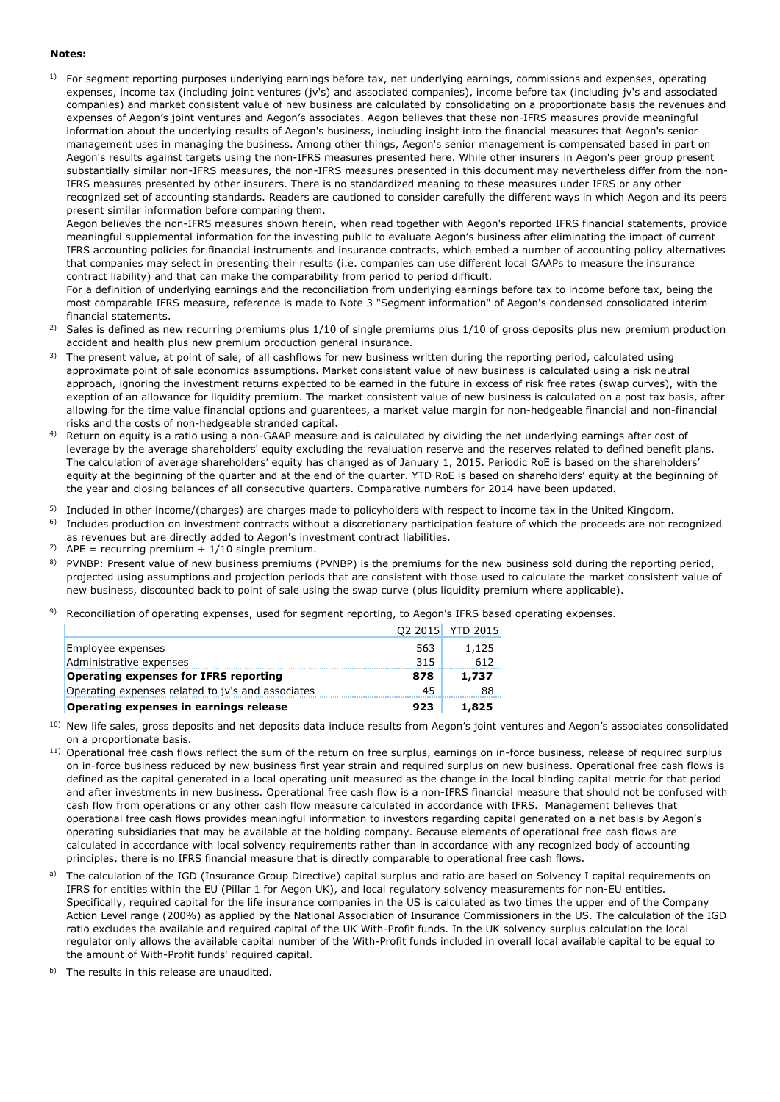#### **Notes:**

 $1$  For segment reporting purposes underlying earnings before tax, net underlying earnings, commissions and expenses, operating expenses, income tax (including joint ventures (jv's) and associated companies), income before tax (including jv's and associated companies) and market consistent value of new business are calculated by consolidating on a proportionate basis the revenues and expenses of Aegon's joint ventures and Aegon's associates. Aegon believes that these non-IFRS measures provide meaningful information about the underlying results of Aegon's business, including insight into the financial measures that Aegon's senior management uses in managing the business. Among other things, Aegon's senior management is compensated based in part on Aegon's results against targets using the non-IFRS measures presented here. While other insurers in Aegon's peer group present substantially similar non-IFRS measures, the non-IFRS measures presented in this document may nevertheless differ from the non-IFRS measures presented by other insurers. There is no standardized meaning to these measures under IFRS or any other recognized set of accounting standards. Readers are cautioned to consider carefully the different ways in which Aegon and its peers present similar information before comparing them.

Aegon believes the non-IFRS measures shown herein, when read together with Aegon's reported IFRS financial statements, provide meaningful supplemental information for the investing public to evaluate Aegon's business after eliminating the impact of current IFRS accounting policies for financial instruments and insurance contracts, which embed a number of accounting policy alternatives that companies may select in presenting their results (i.e. companies can use different local GAAPs to measure the insurance contract liability) and that can make the comparability from period to period difficult.

For a definition of underlying earnings and the reconciliation from underlying earnings before tax to income before tax, being the most comparable IFRS measure, reference is made to Note 3 "Segment information" of Aegon's condensed consolidated interim financial statements.

- 2) Sales is defined as new recurring premiums plus 1/10 of single premiums plus 1/10 of gross deposits plus new premium production accident and health plus new premium production general insurance.
- <sup>3)</sup> The present value, at point of sale, of all cashflows for new business written during the reporting period, calculated using approximate point of sale economics assumptions. Market consistent value of new business is calculated using a risk neutral approach, ignoring the investment returns expected to be earned in the future in excess of risk free rates (swap curves), with the exeption of an allowance for liquidity premium. The market consistent value of new business is calculated on a post tax basis, after allowing for the time value financial options and guarentees, a market value margin for non-hedgeable financial and non-financial risks and the costs of non-hedgeable stranded capital.
- 4) Return on equity is a ratio using a non-GAAP measure and is calculated by dividing the net underlying earnings after cost of leverage by the average shareholders' equity excluding the revaluation reserve and the reserves related to defined benefit plans. The calculation of average shareholders' equity has changed as of January 1, 2015. Periodic RoE is based on the shareholders' equity at the beginning of the quarter and at the end of the quarter. YTD RoE is based on shareholders' equity at the beginning of the year and closing balances of all consecutive quarters. Comparative numbers for 2014 have been updated.
- <sup>5)</sup> Included in other income/(charges) are charges made to policyholders with respect to income tax in the United Kingdom.
- 6) Includes production on investment contracts without a discretionary participation feature of which the proceeds are not recognized as revenues but are directly added to Aegon's investment contract liabilities.
- 7)  $APE$  = recurring premium + 1/10 single premium.
- <sup>8)</sup> PVNBP: Present value of new business premiums (PVNBP) is the premiums for the new business sold during the reporting period, projected using assumptions and projection periods that are consistent with those used to calculate the market consistent value of new business, discounted back to point of sale using the swap curve (plus liquidity premium where applicable).
- <sup>9)</sup> Reconciliation of operating expenses, used for segment reporting, to Aegon's IFRS based operating expenses.

| Operating expenses in earnings release            | 923 | 1,825            |
|---------------------------------------------------|-----|------------------|
| Operating expenses related to jy's and associates | 45  | 88               |
| <b>Operating expenses for IFRS reporting</b>      | 878 | 1,737            |
| Administrative expenses                           | 315 | 612              |
| Employee expenses                                 | 563 | 1,125            |
|                                                   |     | Q2 2015 YTD 2015 |

- <sup>10)</sup> New life sales, gross deposits and net deposits data include results from Aegon's joint ventures and Aegon's associates consolidated on a proportionate basis.
- <sup>11)</sup> Operational free cash flows reflect the sum of the return on free surplus, earnings on in-force business, release of required surplus on in-force business reduced by new business first year strain and required surplus on new business. Operational free cash flows is defined as the capital generated in a local operating unit measured as the change in the local binding capital metric for that period and after investments in new business. Operational free cash flow is a non-IFRS financial measure that should not be confused with cash flow from operations or any other cash flow measure calculated in accordance with IFRS. Management believes that operational free cash flows provides meaningful information to investors regarding capital generated on a net basis by Aegon's operating subsidiaries that may be available at the holding company. Because elements of operational free cash flows are calculated in accordance with local solvency requirements rather than in accordance with any recognized body of accounting principles, there is no IFRS financial measure that is directly comparable to operational free cash flows.
- a) The calculation of the IGD (Insurance Group Directive) capital surplus and ratio are based on Solvency I capital requirements on IFRS for entities within the EU (Pillar 1 for Aegon UK), and local regulatory solvency measurements for non-EU entities. Specifically, required capital for the life insurance companies in the US is calculated as two times the upper end of the Company Action Level range (200%) as applied by the National Association of Insurance Commissioners in the US. The calculation of the IGD ratio excludes the available and required capital of the UK With-Profit funds. In the UK solvency surplus calculation the local regulator only allows the available capital number of the With-Profit funds included in overall local available capital to be equal to the amount of With-Profit funds' required capital.
- b) The results in this release are unaudited.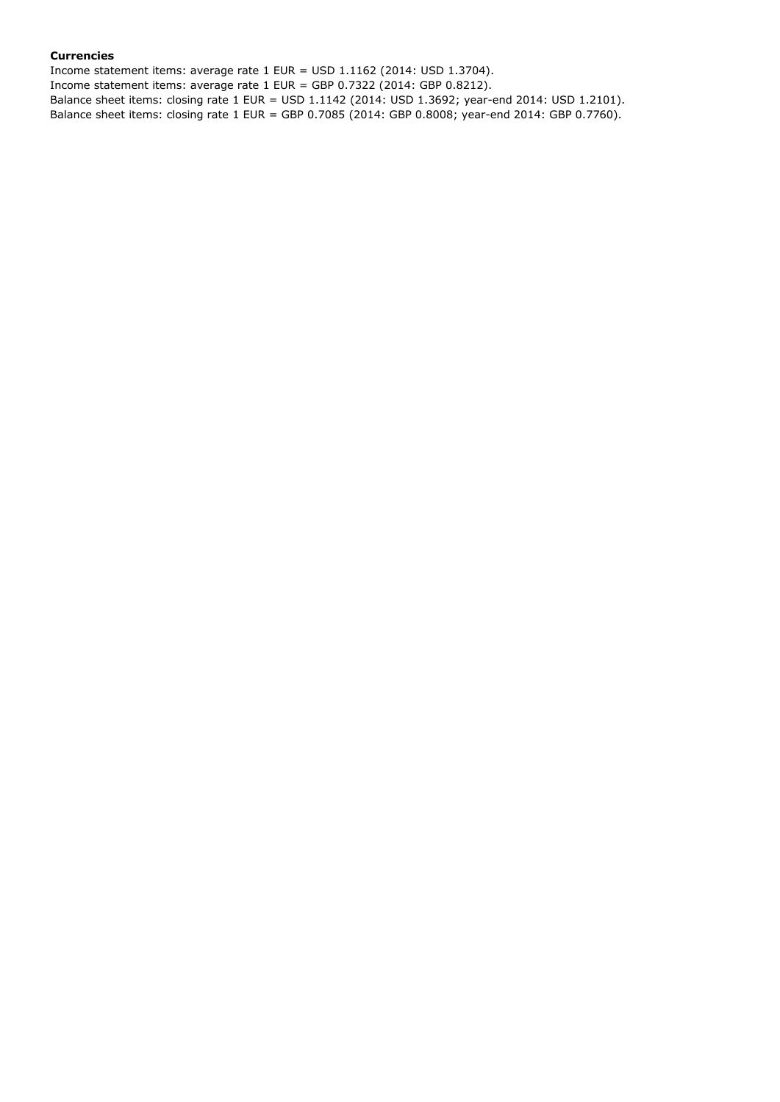### **Currencies**

Income statement items: average rate 1 EUR = USD 1.1162 (2014: USD 1.3704). Income statement items: average rate 1 EUR = GBP 0.7322 (2014: GBP 0.8212). Balance sheet items: closing rate 1 EUR = USD 1.1142 (2014: USD 1.3692; year-end 2014: USD 1.2101). Balance sheet items: closing rate 1 EUR = GBP 0.7085 (2014: GBP 0.8008; year-end 2014: GBP 0.7760).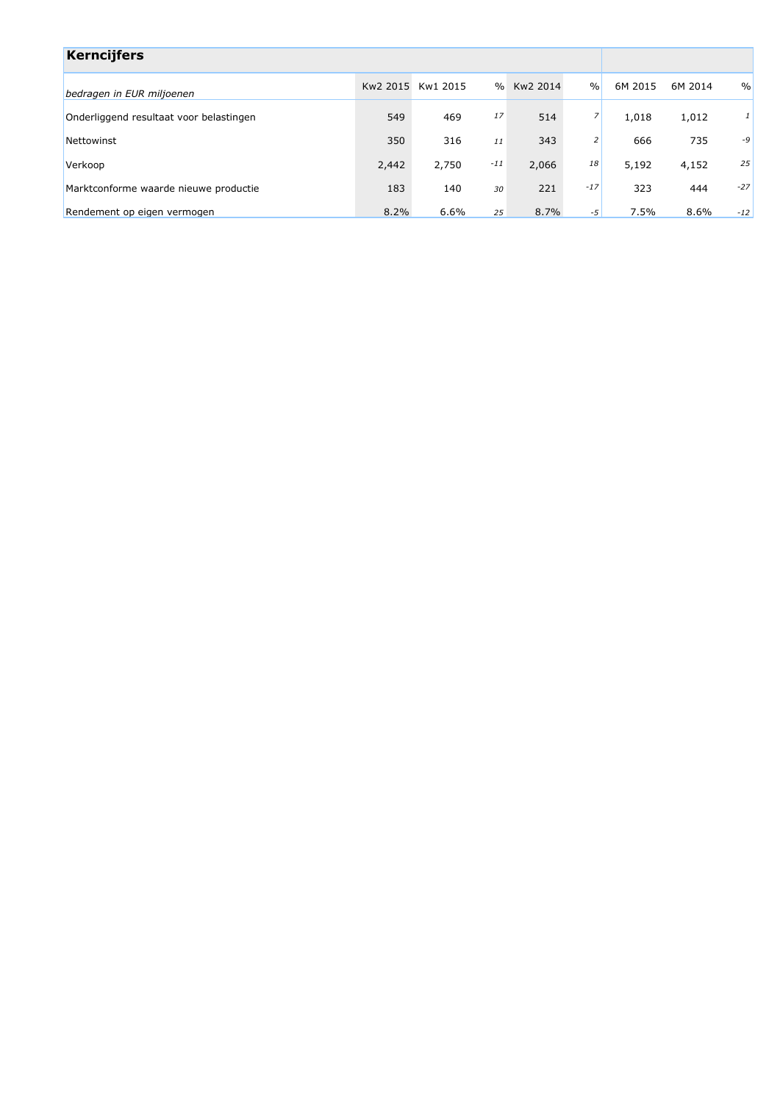| <b>Kerncijfers</b>                      |       |                   |               |          |                |         |         |               |
|-----------------------------------------|-------|-------------------|---------------|----------|----------------|---------|---------|---------------|
| bedragen in EUR miljoenen               |       | Kw2 2015 Kw1 2015 | $\frac{0}{0}$ | Kw2 2014 | $\frac{0}{0}$  | 6M 2015 | 6M 2014 | $\frac{0}{0}$ |
| Onderliggend resultaat voor belastingen | 549   | 469               | 17            | 514      | 7              | 1,018   | 1,012   | 1             |
| Nettowinst                              | 350   | 316               | 11            | 343      | $\overline{2}$ | 666     | 735     | -9            |
| Verkoop                                 | 2,442 | 2,750             | $-11$         | 2,066    | 18             | 5,192   | 4,152   | 25            |
| Marktconforme waarde nieuwe productie   | 183   | 140               | 30            | 221      | $-17$          | 323     | 444     | $-27$         |
| Rendement op eigen vermogen             | 8.2%  | 6.6%              | 25            | 8.7%     | $-5$           | 7.5%    | 8.6%    | $-12$         |